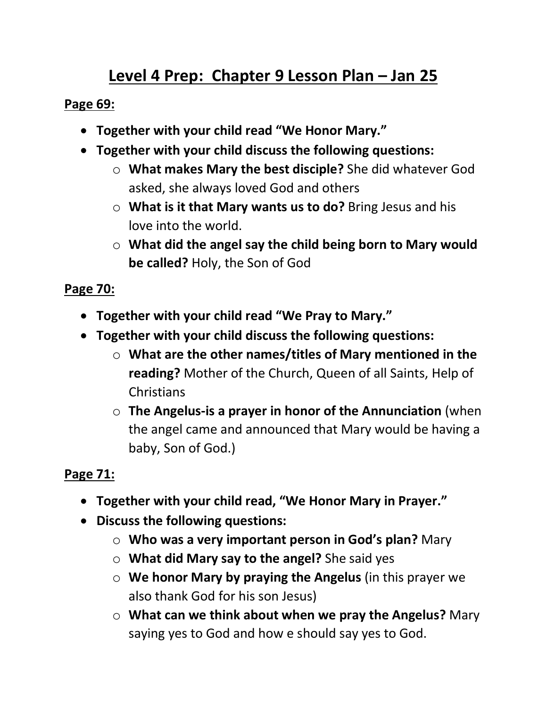# **Level 4 Prep: Chapter 9 Lesson Plan – Jan 25**

### **Page 69:**

- **Together with your child read "We Honor Mary."**
- **Together with your child discuss the following questions:**
	- o **What makes Mary the best disciple?** She did whatever God asked, she always loved God and others
	- o **What is it that Mary wants us to do?** Bring Jesus and his love into the world.
	- o **What did the angel say the child being born to Mary would be called?** Holy, the Son of God

# **Page 70:**

- **Together with your child read "We Pray to Mary."**
- **Together with your child discuss the following questions:**
	- o **What are the other names/titles of Mary mentioned in the reading?** Mother of the Church, Queen of all Saints, Help of **Christians**
	- o **The Angelus-is a prayer in honor of the Annunciation** (when the angel came and announced that Mary would be having a baby, Son of God.)

# **Page 71:**

- **Together with your child read, "We Honor Mary in Prayer."**
- **Discuss the following questions:**
	- o **Who was a very important person in God's plan?** Mary
	- o **What did Mary say to the angel?** She said yes
	- o **We honor Mary by praying the Angelus** (in this prayer we also thank God for his son Jesus)
	- o **What can we think about when we pray the Angelus?** Mary saying yes to God and how e should say yes to God.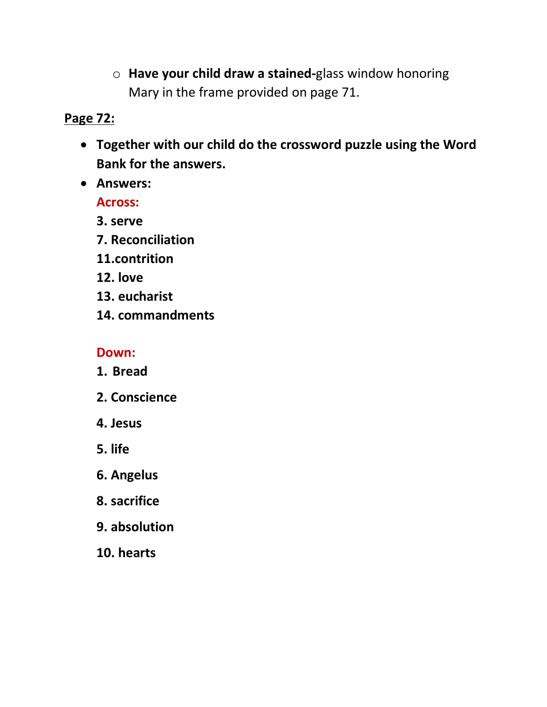o **Have your child draw a stained-**glass window honoring Mary in the frame provided on page 71.

## **Page 72:**

- **Together with our child do the crossword puzzle using the Word Bank for the answers.**
- **Answers:**

**Across:**

- **3. serve**
- **7. Reconciliation**
- **11.contrition**
- **12. love**
- **13. eucharist**
- **14. commandments**

### **Down:**

- **1. Bread**
- **2. Conscience**
- **4. Jesus**
- **5. life**
- **6. Angelus**
- **8. sacrifice**
- **9. absolution**
- **10. hearts**